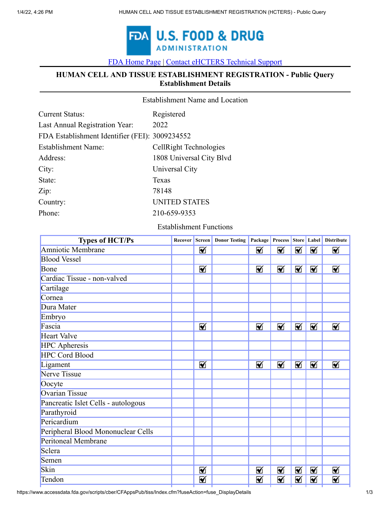

[FDA Home Page](https://www.fda.gov/default.htm) [|](https://www.fda.gov/) [Contact eHCTERS Technical Support](javascript:void(0);)

## **HUMAN CELL AND TISSUE ESTABLISHMENT REGISTRATION - Public Query Establishment Details**

| <b>Establishment Name and Location</b> |  |
|----------------------------------------|--|
|----------------------------------------|--|

| <b>Current Status:</b>                         | Registered               |
|------------------------------------------------|--------------------------|
| Last Annual Registration Year:                 | 2022                     |
| FDA Establishment Identifier (FEI): 3009234552 |                          |
| <b>Establishment Name:</b>                     | CellRight Technologies   |
| Address:                                       | 1808 Universal City Blvd |
| City:                                          | Universal City           |
| State:                                         | Texas                    |
| Zip:                                           | 78148                    |
| Country:                                       | <b>UNITED STATES</b>     |
| Phone:                                         | 210-659-9353             |
|                                                |                          |

Establishment Functions

| <b>Types of HCT/Ps</b>              | Recover |   | <b>Screen</b> Donor Testing |   |   |   |   | Package Process Store Label Distribute |
|-------------------------------------|---------|---|-----------------------------|---|---|---|---|----------------------------------------|
| Amniotic Membrane                   |         | ⊠ |                             | ☑ | ⊠ | ☑ | ⊠ | ⊠                                      |
| <b>Blood Vessel</b>                 |         |   |                             |   |   |   |   |                                        |
| Bone                                |         | ⊠ |                             | ⊠ | ⊠ | ⊠ | ⊠ | ⊠                                      |
| Cardiac Tissue - non-valved         |         |   |                             |   |   |   |   |                                        |
| Cartilage                           |         |   |                             |   |   |   |   |                                        |
| Cornea                              |         |   |                             |   |   |   |   |                                        |
| Dura Mater                          |         |   |                             |   |   |   |   |                                        |
| Embryo                              |         |   |                             |   |   |   |   |                                        |
| Fascia                              |         | ⊠ |                             | ⊠ | ⊠ | ⊠ | ⊠ | ⊠                                      |
| <b>Heart Valve</b>                  |         |   |                             |   |   |   |   |                                        |
| <b>HPC</b> Apheresis                |         |   |                             |   |   |   |   |                                        |
| <b>HPC Cord Blood</b>               |         |   |                             |   |   |   |   |                                        |
| Ligament                            |         | ⊠ |                             | ⊠ | ⊠ | ⊠ | ⊠ | ⊠                                      |
| Nerve Tissue                        |         |   |                             |   |   |   |   |                                        |
| Oocyte                              |         |   |                             |   |   |   |   |                                        |
| Ovarian Tissue                      |         |   |                             |   |   |   |   |                                        |
| Pancreatic Islet Cells - autologous |         |   |                             |   |   |   |   |                                        |
| Parathyroid                         |         |   |                             |   |   |   |   |                                        |
| Pericardium                         |         |   |                             |   |   |   |   |                                        |
| Peripheral Blood Mononuclear Cells  |         |   |                             |   |   |   |   |                                        |
| Peritoneal Membrane                 |         |   |                             |   |   |   |   |                                        |
| Sclera                              |         |   |                             |   |   |   |   |                                        |
| Semen                               |         |   |                             |   |   |   |   |                                        |
| Skin                                |         | ⊠ |                             | ⊠ | ⊠ | ⊠ | ⊠ | ⊠                                      |
| Tendon                              |         | ⊠ |                             | ☑ | ⊠ | ⊠ | ⊠ | ⊠                                      |
|                                     |         |   |                             |   |   |   |   |                                        |

https://www.accessdata.fda.gov/scripts/cber/CFAppsPub/tiss/Index.cfm?fuseAction=fuse\_DisplayDetails 1/3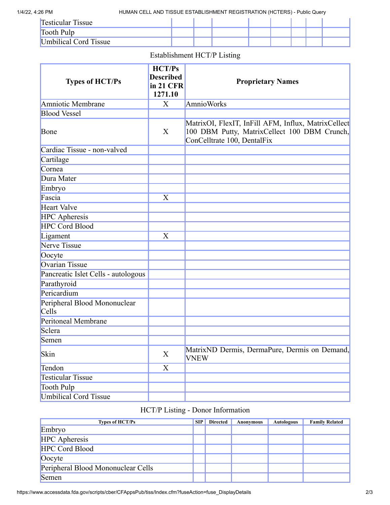1/4/22, 4:26 PM HUMAN CELL AND TISSUE ESTABLISHMENT REGISTRATION (HCTERS) - Public Query

| <b>Testicular Tissue</b> |  |  |  |  |
|--------------------------|--|--|--|--|
| Tooth Pulp               |  |  |  |  |
| Umbilical Cord Tissue    |  |  |  |  |

## Establishment HCT/P Listing

| <b>Types of HCT/Ps</b>                       | HCT/Ps<br><b>Described</b><br>in 21 CFR<br>1271.10 | <b>Proprietary Names</b>                                                                                                           |
|----------------------------------------------|----------------------------------------------------|------------------------------------------------------------------------------------------------------------------------------------|
| Amniotic Membrane                            | X                                                  | <b>AmnioWorks</b>                                                                                                                  |
| <b>Blood Vessel</b>                          |                                                    |                                                                                                                                    |
| Bone                                         | X                                                  | MatrixOI, FlexIT, InFill AFM, Influx, MatrixCellect<br>100 DBM Putty, MatrixCellect 100 DBM Crunch,<br>ConCelltrate 100, DentalFix |
| Cardiac Tissue - non-valved                  |                                                    |                                                                                                                                    |
| Cartilage                                    |                                                    |                                                                                                                                    |
| Cornea                                       |                                                    |                                                                                                                                    |
| Dura Mater                                   |                                                    |                                                                                                                                    |
| Embryo                                       |                                                    |                                                                                                                                    |
| Fascia                                       | X                                                  |                                                                                                                                    |
| <b>Heart Valve</b>                           |                                                    |                                                                                                                                    |
| <b>HPC</b> Apheresis                         |                                                    |                                                                                                                                    |
| <b>HPC Cord Blood</b>                        |                                                    |                                                                                                                                    |
| Ligament                                     | X                                                  |                                                                                                                                    |
| Nerve Tissue                                 |                                                    |                                                                                                                                    |
| Oocyte                                       |                                                    |                                                                                                                                    |
| <b>Ovarian Tissue</b>                        |                                                    |                                                                                                                                    |
| Pancreatic Islet Cells - autologous          |                                                    |                                                                                                                                    |
| Parathyroid                                  |                                                    |                                                                                                                                    |
| Pericardium                                  |                                                    |                                                                                                                                    |
| Peripheral Blood Mononuclear<br><b>Cells</b> |                                                    |                                                                                                                                    |
| Peritoneal Membrane                          |                                                    |                                                                                                                                    |
| Sclera                                       |                                                    |                                                                                                                                    |
| Semen                                        |                                                    |                                                                                                                                    |
| Skin                                         | X                                                  | MatrixND Dermis, DermaPure, Dermis on Demand,<br><b>VNEW</b>                                                                       |
| Tendon                                       | X                                                  |                                                                                                                                    |
| <b>Testicular Tissue</b>                     |                                                    |                                                                                                                                    |
| Tooth Pulp                                   |                                                    |                                                                                                                                    |
| <b>Umbilical Cord Tissue</b>                 |                                                    |                                                                                                                                    |

## HCT/P Listing - Donor Information

| <b>Types of HCT/Ps</b>             | <b>SIP</b> | <b>Directed</b> | Anonymous | <b>Autologous</b> | <b>Family Related</b> |
|------------------------------------|------------|-----------------|-----------|-------------------|-----------------------|
| Embryo                             |            |                 |           |                   |                       |
| <b>HPC</b> Apheresis               |            |                 |           |                   |                       |
| <b>HPC Cord Blood</b>              |            |                 |           |                   |                       |
| Oocyte                             |            |                 |           |                   |                       |
| Peripheral Blood Mononuclear Cells |            |                 |           |                   |                       |
| Semen                              |            |                 |           |                   |                       |